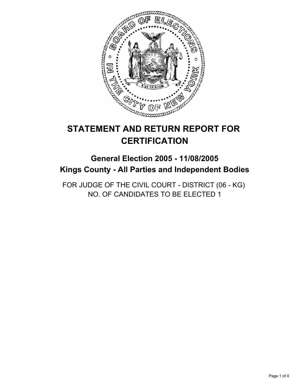

# **STATEMENT AND RETURN REPORT FOR CERTIFICATION**

# **General Election 2005 - 11/08/2005 Kings County - All Parties and Independent Bodies**

FOR JUDGE OF THE CIVIL COURT - DISTRICT (06 - KG) NO. OF CANDIDATES TO BE ELECTED 1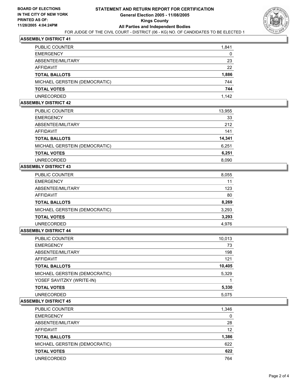

# **ASSEMBLY DISTRICT 41**

| PUBLIC COUNTER                | 1,841 |
|-------------------------------|-------|
| <b>EMERGENCY</b>              | 0     |
| ABSENTEE/MILITARY             | 23    |
| AFFIDAVIT                     | 22    |
| <b>TOTAL BALLOTS</b>          | 1,886 |
| MICHAEL GERSTEIN (DEMOCRATIC) | 744   |
| <b>TOTAL VOTES</b>            | 744   |
| UNRECORDED                    | 1,142 |

## **ASSEMBLY DISTRICT 42**

| PUBLIC COUNTER                | 13,955 |  |
|-------------------------------|--------|--|
| <b>EMERGENCY</b>              | 33     |  |
| ABSENTEE/MILITARY             | 212    |  |
| AFFIDAVIT                     | 141    |  |
| <b>TOTAL BALLOTS</b>          | 14,341 |  |
| MICHAEL GERSTEIN (DEMOCRATIC) | 6,251  |  |
| <b>TOTAL VOTES</b>            | 6,251  |  |
| <b>UNRECORDED</b>             | 8,090  |  |

## **ASSEMBLY DISTRICT 43**

| 8,055 |
|-------|
| 11    |
| 123   |
| 80    |
| 8,269 |
| 3,293 |
| 3,293 |
| 4.976 |
|       |

#### **ASSEMBLY DISTRICT 44**

| PUBLIC COUNTER                | 10,013 |
|-------------------------------|--------|
| <b>EMERGENCY</b>              | 73     |
| ABSENTEE/MILITARY             | 198    |
| AFFIDAVIT                     | 121    |
| <b>TOTAL BALLOTS</b>          | 10,405 |
| MICHAEL GERSTEIN (DEMOCRATIC) | 5,329  |
| YOSEF SAVITZKY (WRITE-IN)     |        |
| <b>TOTAL VOTES</b>            | 5,330  |
| <b>UNRECORDED</b>             | 5,075  |
|                               |        |

### **ASSEMBLY DISTRICT 45**

| PUBLIC COUNTER                | 1,346 |
|-------------------------------|-------|
| <b>EMERGENCY</b>              | 0     |
| ABSENTEE/MILITARY             | 28    |
| AFFIDAVIT                     | 12    |
| <b>TOTAL BALLOTS</b>          | 1,386 |
| MICHAEL GERSTEIN (DEMOCRATIC) | 622   |
| <b>TOTAL VOTES</b>            | 622   |
| <b>UNRECORDED</b>             | 764   |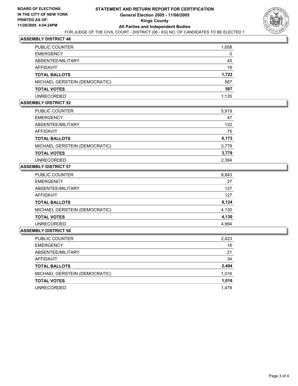

# **ASSEMBLY DISTRICT 48**

| PUBLIC COUNTER                | 1,658 |
|-------------------------------|-------|
| <b>EMERGENCY</b>              | 0     |
| ABSENTEE/MILITARY             | 45    |
| AFFIDAVIT                     | 19    |
| TOTAL BALLOTS                 | 1,722 |
| MICHAEL GERSTEIN (DEMOCRATIC) | 587   |
| <b>TOTAL VOTES</b>            | 587   |
| UNRECORDED                    | 1,135 |

#### **ASSEMBLY DISTRICT 52**

| <b>PUBLIC COUNTER</b>         | 5,919 |
|-------------------------------|-------|
| <b>EMERGENCY</b>              | 47    |
| ABSENTEE/MILITARY             | 132   |
| AFFIDAVIT                     | 75    |
| <b>TOTAL BALLOTS</b>          | 6,173 |
| MICHAEL GERSTEIN (DEMOCRATIC) | 3,779 |
| <b>TOTAL VOTES</b>            | 3,779 |
| <b>UNRECORDED</b>             | 2,394 |

### **ASSEMBLY DISTRICT 57**

| 8,843 |
|-------|
| 27    |
| 127   |
| 127   |
| 9,124 |
| 4,130 |
| 4,130 |
| 4.994 |
|       |

#### **ASSEMBLY DISTRICT 58**

| PUBLIC COUNTER                | 2,423 |
|-------------------------------|-------|
| <b>EMERGENCY</b>              | 16    |
| ABSENTEE/MILITARY             | 21    |
| AFFIDAVIT                     | 34    |
| <b>TOTAL BALLOTS</b>          | 2,494 |
| MICHAEL GERSTEIN (DEMOCRATIC) | 1,016 |
| <b>TOTAL VOTES</b>            | 1,016 |
| <b>UNRECORDED</b>             | 1,478 |
|                               |       |